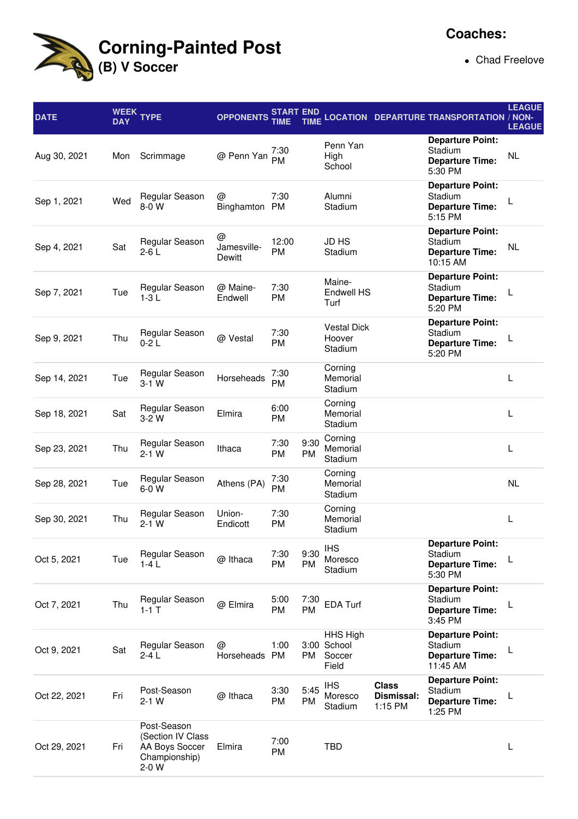

• Chad Freelove

| <b>DATE</b>  | WEEK<br><b>DAY</b> | <b>TYPE</b>                                                                  | <b>OPPONENTS</b>           | START END<br>TIME  | <b>TIME</b>       |                                            |                                       | <b>LOCATION DEPARTURE TRANSPORTATION / NON-</b>                          | <b>LEAGUE</b><br><b>LEAGUE</b> |
|--------------|--------------------|------------------------------------------------------------------------------|----------------------------|--------------------|-------------------|--------------------------------------------|---------------------------------------|--------------------------------------------------------------------------|--------------------------------|
| Aug 30, 2021 | Mon                | Scrimmage                                                                    | @ Penn Yan                 | 7:30<br><b>PM</b>  |                   | Penn Yan<br>High<br>School                 |                                       | <b>Departure Point:</b><br>Stadium<br><b>Departure Time:</b><br>5:30 PM  | <b>NL</b>                      |
| Sep 1, 2021  | Wed                | Regular Season<br>$8-0$ W                                                    | @<br>Binghamton            | 7:30<br><b>PM</b>  |                   | Alumni<br>Stadium                          |                                       | <b>Departure Point:</b><br>Stadium<br><b>Departure Time:</b><br>5:15 PM  |                                |
| Sep 4, 2021  | Sat                | Regular Season<br>$2-6L$                                                     | @<br>Jamesville-<br>Dewitt | 12:00<br><b>PM</b> |                   | <b>JD HS</b><br>Stadium                    |                                       | <b>Departure Point:</b><br>Stadium<br><b>Departure Time:</b><br>10:15 AM | NL                             |
| Sep 7, 2021  | Tue                | Regular Season<br>$1-3L$                                                     | @ Maine-<br>Endwell        | 7:30<br><b>PM</b>  |                   | Maine-<br>Endwell HS<br>Turf               |                                       | <b>Departure Point:</b><br>Stadium<br><b>Departure Time:</b><br>5:20 PM  |                                |
| Sep 9, 2021  | Thu                | Regular Season<br>$0-2L$                                                     | @ Vestal                   | 7:30<br>PM         |                   | <b>Vestal Dick</b><br>Hoover<br>Stadium    |                                       | <b>Departure Point:</b><br>Stadium<br><b>Departure Time:</b><br>5:20 PM  |                                |
| Sep 14, 2021 | Tue                | Regular Season<br>$3-1$ W                                                    | Horseheads                 | 7:30<br><b>PM</b>  |                   | Corning<br>Memorial<br>Stadium             |                                       |                                                                          | L                              |
| Sep 18, 2021 | Sat                | Regular Season<br>$3-2W$                                                     | Elmira                     | 6:00<br>PM         |                   | Corning<br>Memorial<br>Stadium             |                                       |                                                                          | L                              |
| Sep 23, 2021 | Thu                | Regular Season<br>$2-1$ W                                                    | Ithaca                     | 7:30<br>PM         | 9:30<br><b>PM</b> | Corning<br>Memorial<br>Stadium             |                                       |                                                                          | L                              |
| Sep 28, 2021 | Tue                | Regular Season<br>6-0 W                                                      | Athens (PA)                | 7:30<br>PM         |                   | Corning<br>Memorial<br>Stadium             |                                       |                                                                          | NL                             |
| Sep 30, 2021 | Thu                | Regular Season<br>$2-1$ W                                                    | Union-<br>Endicott         | 7:30<br><b>PM</b>  |                   | Corning<br>Memorial<br>Stadium             |                                       |                                                                          | L                              |
| Oct 5, 2021  | Tue                | Regular Season<br>$1-4L$                                                     | @ Ithaca                   | 7:30<br>PM         | 9:30<br>PM        | <b>IHS</b><br>Moresco<br>Stadium           |                                       | <b>Departure Point:</b><br>Stadium<br><b>Departure Time:</b><br>5:30 PM  |                                |
| Oct 7, 2021  | Thu                | Regular Season<br>$1 - 1$ T                                                  | @ Elmira                   | 5:00<br>PM         | 7:30<br><b>PM</b> | <b>EDA Turf</b>                            |                                       | <b>Departure Point:</b><br>Stadium<br><b>Departure Time:</b><br>3:45 PM  | L                              |
| Oct 9, 2021  | Sat                | Regular Season<br>$2-4L$                                                     | @<br>Horseheads PM         | 1:00               | PM                | HHS High<br>3:00 School<br>Soccer<br>Field |                                       | <b>Departure Point:</b><br>Stadium<br><b>Departure Time:</b><br>11:45 AM | L                              |
| Oct 22, 2021 | Fri                | Post-Season<br>$2-1$ W                                                       | @ Ithaca                   | 3:30<br>PM         | 5:45<br><b>PM</b> | <b>IHS</b><br>Moresco<br>Stadium           | <b>Class</b><br>Dismissal:<br>1:15 PM | <b>Departure Point:</b><br>Stadium<br><b>Departure Time:</b><br>1:25 PM  | L                              |
| Oct 29, 2021 | Fri                | Post-Season<br>(Section IV Class<br>AA Boys Soccer<br>Championship)<br>2-0 W | Elmira                     | 7:00<br>PM         |                   | <b>TBD</b>                                 |                                       |                                                                          | L                              |